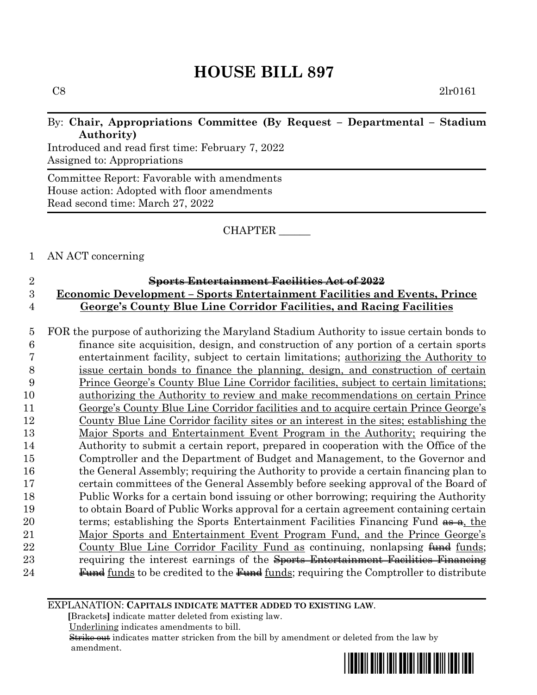$C8$  2lr0161

### By: **Chair, Appropriations Committee (By Request – Departmental – Stadium Authority)**

Introduced and read first time: February 7, 2022 Assigned to: Appropriations

Committee Report: Favorable with amendments House action: Adopted with floor amendments Read second time: March 27, 2022

#### CHAPTER \_\_\_\_\_\_

#### 1 AN ACT concerning

### 2 **Sports Entertainment Facilities Act of 2022** 3 **Economic Development – Sports Entertainment Facilities and Events, Prince**  4 **George's County Blue Line Corridor Facilities, and Racing Facilities**

 FOR the purpose of authorizing the Maryland Stadium Authority to issue certain bonds to finance site acquisition, design, and construction of any portion of a certain sports entertainment facility, subject to certain limitations; authorizing the Authority to issue certain bonds to finance the planning, design, and construction of certain Prince George's County Blue Line Corridor facilities, subject to certain limitations; authorizing the Authority to review and make recommendations on certain Prince George's County Blue Line Corridor facilities and to acquire certain Prince George's County Blue Line Corridor facility sites or an interest in the sites; establishing the Major Sports and Entertainment Event Program in the Authority; requiring the Authority to submit a certain report, prepared in cooperation with the Office of the Comptroller and the Department of Budget and Management, to the Governor and the General Assembly; requiring the Authority to provide a certain financing plan to certain committees of the General Assembly before seeking approval of the Board of Public Works for a certain bond issuing or other borrowing; requiring the Authority to obtain Board of Public Works approval for a certain agreement containing certain 20 terms; establishing the Sports Entertainment Facilities Financing Fund  $\frac{a}{\alpha}$ , the Major Sports and Entertainment Event Program Fund, and the Prince George's 22 County Blue Line Corridor Facility Fund as continuing, nonlapsing fund funds; 23 requiring the interest earnings of the Sports Entertainment Facilities Financing **Fund** funds to be credited to the  $\frac{Fund}{funds}$ ; requiring the Comptroller to distribute

#### EXPLANATION: **CAPITALS INDICATE MATTER ADDED TO EXISTING LAW**.

 **[**Brackets**]** indicate matter deleted from existing law.

Underlining indicates amendments to bill.

 Strike out indicates matter stricken from the bill by amendment or deleted from the law by amendment.

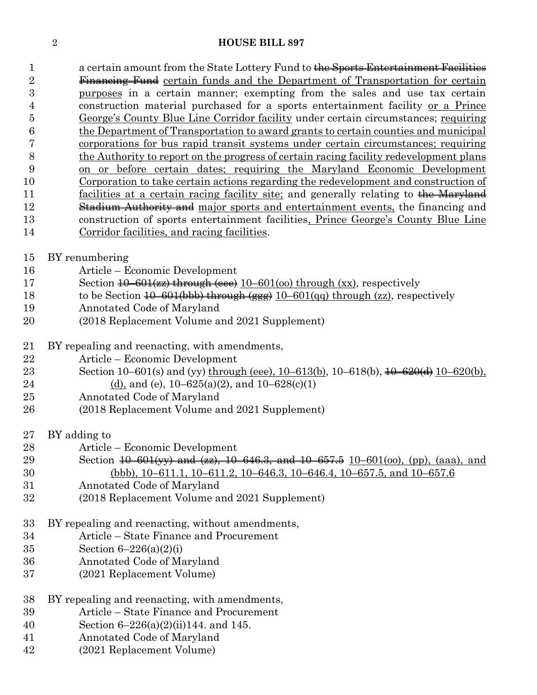1 a certain amount from the State Lottery Fund to the Sports Entertainment Facilities 2 Financing Fund certain funds and the Department of Transportation for certain purposes in a certain manner; exempting from the sales and use tax certain construction material purchased for a sports entertainment facility or a Prince George's County Blue Line Corridor facility under certain circumstances; requiring the Department of Transportation to award grants to certain counties and municipal corporations for bus rapid transit systems under certain circumstances; requiring the Authority to report on the progress of certain racing facility redevelopment plans on or before certain dates; requiring the Maryland Economic Development Corporation to take certain actions regarding the redevelopment and construction of 11 facilities at a certain racing facility site; and generally relating to the Maryland 12 Stadium Authority and major sports and entertainment events, the financing and construction of sports entertainment facilities, Prince George's County Blue Line Corridor facilities, and racing facilities.

BY renumbering

- Article Economic Development
- 17 Section <del>10–601(zz) through (eee)</del> 10–601(oo) through (xx), respectively
- 18 to be Section  $\overline{10}$ –601(bbb) through (ggg) 10–601(qq) through (zz), respectively
- Annotated Code of Maryland
- (2018 Replacement Volume and 2021 Supplement)
- BY repealing and reenacting, with amendments,
- Article Economic Development
- Section 10–601(s) and (yy) through (eee), 10–613(b), 10–618(b), 10–620(d) 10–620(b),
- 24 (d), and (e),  $10-625(a)(2)$ , and  $10-628(c)(1)$
- Annotated Code of Maryland
- (2018 Replacement Volume and 2021 Supplement)
- BY adding to
- Article Economic Development
- 29 Section <del>10–601(yy) and (zz), 10–646.3, and 10–657.5</del> 10–601(oo), (pp), (aaa), and (bbb), 10–611.1, 10–611.2, 10–646.3, 10–646.4, 10–657.5, and 10–657.6
- Annotated Code of Maryland
- (2018 Replacement Volume and 2021 Supplement)
- BY repealing and reenacting, without amendments,
- Article State Finance and Procurement
- Section 6–226(a)(2)(i)
- Annotated Code of Maryland
- (2021 Replacement Volume)
- BY repealing and reenacting, with amendments,
- Article State Finance and Procurement
- Section 6–226(a)(2)(ii)144. and 145.
- Annotated Code of Maryland
- (2021 Replacement Volume)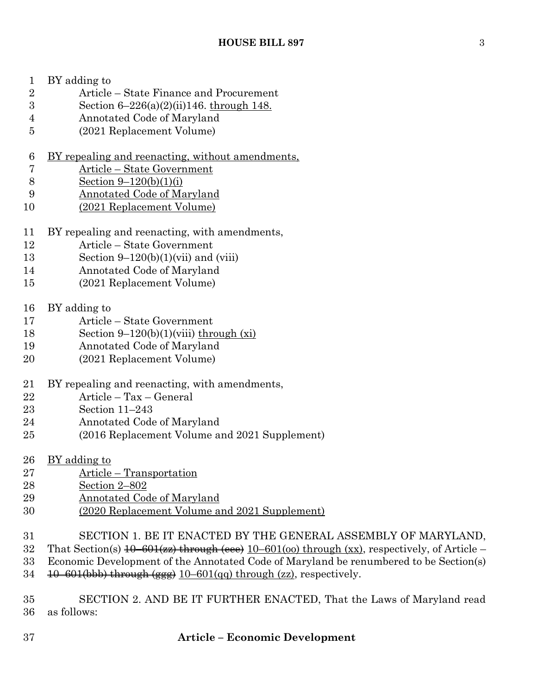- BY adding to
- Article State Finance and Procurement
- Section 6–226(a)(2)(ii)146. through 148.
- Annotated Code of Maryland
- (2021 Replacement Volume)
- BY repealing and reenacting, without amendments,
- Article State Government
- Section 9–120(b)(1)(i)
- Annotated Code of Maryland
- (2021 Replacement Volume)
- BY repealing and reenacting, with amendments,
- Article State Government
- 13 Section  $9-120(b)(1)(vii)$  and (viii)
- Annotated Code of Maryland
- (2021 Replacement Volume)
- BY adding to
- Article State Government
- 18 Section  $9-120(b)(1)(viii)$  through  $(xi)$
- Annotated Code of Maryland
- (2021 Replacement Volume)
- BY repealing and reenacting, with amendments,
- Article Tax General
- Section 11–243
- Annotated Code of Maryland
- (2016 Replacement Volume and 2021 Supplement)
- BY adding to
- Article Transportation
- Section 2–802
- Annotated Code of Maryland
- (2020 Replacement Volume and 2021 Supplement)
- SECTION 1. BE IT ENACTED BY THE GENERAL ASSEMBLY OF MARYLAND,
- 32 That Section(s)  $\overline{10-601}$  ( $\overline{27}$ ) through ( $\overline{28}$ )  $\overline{10-601}$  ( $\overline{100}$ ) through ( $\overline{xx}$ ), respectively, of Article –
- Economic Development of the Annotated Code of Maryland be renumbered to be Section(s)
- 34  $\left( \frac{10-601(bbb)}{200} \right)$  through  $\left( \frac{601(qq)}{20q} \right)$  through  $\left( \frac{zz}{2q} \right)$ , respectively.
- SECTION 2. AND BE IT FURTHER ENACTED, That the Laws of Maryland read as follows: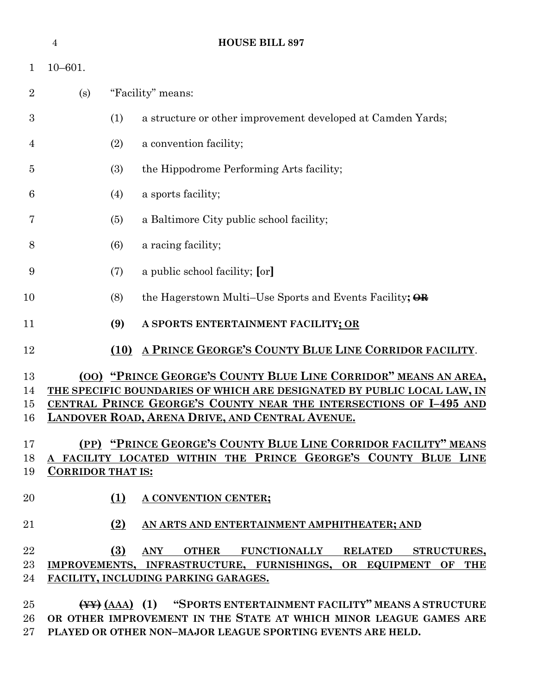|                      | $\overline{4}$           |      | HOUSE BILL 897                                                                                                                                                                                                                                                             |
|----------------------|--------------------------|------|----------------------------------------------------------------------------------------------------------------------------------------------------------------------------------------------------------------------------------------------------------------------------|
| 1                    | $10 - 601.$              |      |                                                                                                                                                                                                                                                                            |
| $\overline{2}$       | (s)                      |      | "Facility" means:                                                                                                                                                                                                                                                          |
| 3                    |                          | (1)  | a structure or other improvement developed at Camden Yards;                                                                                                                                                                                                                |
| 4                    |                          | (2)  | a convention facility;                                                                                                                                                                                                                                                     |
| 5                    |                          | (3)  | the Hippodrome Performing Arts facility;                                                                                                                                                                                                                                   |
| 6                    |                          | (4)  | a sports facility;                                                                                                                                                                                                                                                         |
| 7                    |                          | (5)  | a Baltimore City public school facility;                                                                                                                                                                                                                                   |
| 8                    |                          | (6)  | a racing facility;                                                                                                                                                                                                                                                         |
| 9                    |                          | (7)  | a public school facility; [or]                                                                                                                                                                                                                                             |
| 10                   |                          | (8)  | the Hagerstown Multi–Use Sports and Events Facility; OR                                                                                                                                                                                                                    |
| 11                   |                          | (9)  | A SPORTS ENTERTAINMENT FACILITY; OR                                                                                                                                                                                                                                        |
| 12                   |                          | (10) | A PRINCE GEORGE'S COUNTY BLUE LINE CORRIDOR FACILITY.                                                                                                                                                                                                                      |
| 13<br>14<br>15<br>16 |                          |      | (00) "PRINCE GEORGE'S COUNTY BLUE LINE CORRIDOR" MEANS AN AREA,<br>THE SPECIFIC BOUNDARIES OF WHICH ARE DESIGNATED BY PUBLIC LOCAL LAW, IN<br>CENTRAL PRINCE GEORGE'S COUNTY NEAR THE INTERSECTIONS OF I-495 AND<br><b>LANDOVER ROAD, ARENA DRIVE, AND CENTRAL AVENUE.</b> |
| 17<br>18<br>19       | <b>CORRIDOR THAT IS:</b> |      | <u>(PP) "PRINCE GEORGE'S COUNTY BLUE LINE CORRIDOR FACILITY" MEANS</u><br>A FACILITY LOCATED WITHIN THE PRINCE GEORGE'S COUNTY BLUE LINE                                                                                                                                   |
| 20                   |                          | (1)  | A CONVENTION CENTER;                                                                                                                                                                                                                                                       |
| 21                   |                          | (2)  | AN ARTS AND ENTERTAINMENT AMPHITHEATER; AND                                                                                                                                                                                                                                |
| 22<br>23<br>24       |                          | (3)  | ANY OTHER FUNCTIONALLY RELATED STRUCTURES,<br>IMPROVEMENTS, INFRASTRUCTURE, FURNISHINGS, OR EQUIPMENT OF THE<br>FACILITY, INCLUDING PARKING GARAGES.                                                                                                                       |
| 25<br>26<br>27       |                          |      | (AAA) (1) "SPORTS ENTERTAINMENT FACILITY" MEANS A STRUCTURE<br>OR OTHER IMPROVEMENT IN THE STATE AT WHICH MINOR LEAGUE GAMES ARE<br>PLAYED OR OTHER NON-MAJOR LEAGUE SPORTING EVENTS ARE HELD.                                                                             |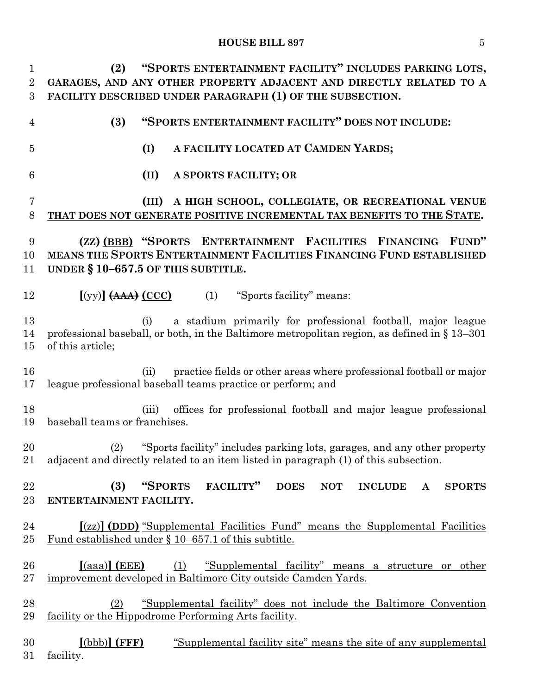**(2) "SPORTS ENTERTAINMENT FACILITY" INCLUDES PARKING LOTS, GARAGES, AND ANY OTHER PROPERTY ADJACENT AND DIRECTLY RELATED TO A FACILITY DESCRIBED UNDER PARAGRAPH (1) OF THE SUBSECTION. (3) "SPORTS ENTERTAINMENT FACILITY" DOES NOT INCLUDE: (I) A FACILITY LOCATED AT CAMDEN YARDS; (II) A SPORTS FACILITY; OR (III) A HIGH SCHOOL, COLLEGIATE, OR RECREATIONAL VENUE THAT DOES NOT GENERATE POSITIVE INCREMENTAL TAX BENEFITS TO THE STATE. (ZZ) (BBB) "SPORTS ENTERTAINMENT FACILITIES FINANCING FUND" MEANS THE SPORTS ENTERTAINMENT FACILITIES FINANCING FUND ESTABLISHED UNDER § 10–657.5 OF THIS SUBTITLE. [**(yy)**] (AAA) (CCC)** (1) "Sports facility" means: (i) a stadium primarily for professional football, major league professional baseball, or both, in the Baltimore metropolitan region, as defined in § 13–301 of this article; (ii) practice fields or other areas where professional football or major league professional baseball teams practice or perform; and (iii) offices for professional football and major league professional baseball teams or franchises. (2) "Sports facility" includes parking lots, garages, and any other property adjacent and directly related to an item listed in paragraph (1) of this subsection. **(3) "SPORTS FACILITY" DOES NOT INCLUDE A SPORTS ENTERTAINMENT FACILITY. [**(zz)**] (DDD)** "Supplemental Facilities Fund" means the Supplemental Facilities Fund established under § 10–657.1 of this subtitle. **[**(aaa)**] (EEE)** (1) "Supplemental facility" means a structure or other improvement developed in Baltimore City outside Camden Yards. (2) "Supplemental facility" does not include the Baltimore Convention facility or the Hippodrome Performing Arts facility. **[**(bbb)**] (FFF)** "Supplemental facility site" means the site of any supplemental facility.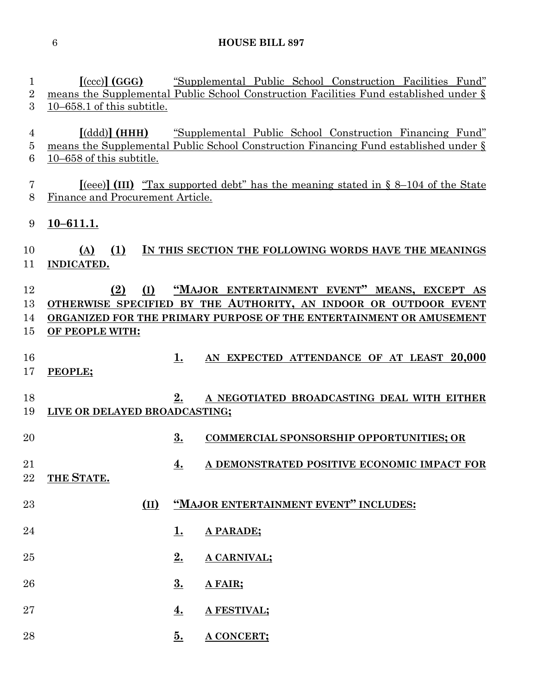| 1<br>$\overline{2}$<br>3 | $[({\rm ccc})]$ (GGG)<br>$10-658.1$ of this subtitle.   |           | "Supplemental Public School Construction Facilities Fund"<br>means the Supplemental Public School Construction Facilities Fund established under §                                      |
|--------------------------|---------------------------------------------------------|-----------|-----------------------------------------------------------------------------------------------------------------------------------------------------------------------------------------|
| 4<br>5<br>6              | $\lceil (ddd) \rceil$ (HHH)<br>10-658 of this subtitle. |           | "Supplemental Public School Construction Financing Fund"<br>means the Supplemental Public School Construction Financing Fund established under §                                        |
| 7<br>8                   | Finance and Procurement Article.                        |           | $[1]$ (III) "Tax supported debt" has the meaning stated in § 8–104 of the State                                                                                                         |
| 9                        | $10 - 611.1.$                                           |           |                                                                                                                                                                                         |
| 10<br>11                 | (1)<br>(A)<br>INDICATED.                                |           | IN THIS SECTION THE FOLLOWING WORDS HAVE THE MEANINGS                                                                                                                                   |
| 12<br>13<br>14<br>15     | (2)<br>(I)<br>OF PEOPLE WITH:                           |           | "MAJOR ENTERTAINMENT EVENT" MEANS, EXCEPT AS<br>OTHERWISE SPECIFIED BY THE AUTHORITY, AN INDOOR OR OUTDOOR EVENT<br>ORGANIZED FOR THE PRIMARY PURPOSE OF THE ENTERTAINMENT OR AMUSEMENT |
| 16<br>17                 | PEOPLE;                                                 | 1.        | AN EXPECTED ATTENDANCE OF AT LEAST 20,000                                                                                                                                               |
| 18<br>19                 | LIVE OR DELAYED BROADCASTING;                           | 2.        | A NEGOTIATED BROADCASTING DEAL WITH EITHER                                                                                                                                              |
| 20                       |                                                         | 3.        | <b>COMMERCIAL SPONSORSHIP OPPORTUNITIES; OR</b>                                                                                                                                         |
| 21<br>22                 | THE STATE.                                              | 4.        | A DEMONSTRATED POSITIVE ECONOMIC IMPACT FOR                                                                                                                                             |
| 23                       | (II)                                                    |           | "MAJOR ENTERTAINMENT EVENT" INCLUDES:                                                                                                                                                   |
| 24                       |                                                         | 1.        | A PARADE;                                                                                                                                                                               |
| 25                       |                                                         | 2.        | A CARNIVAL;                                                                                                                                                                             |
| 26                       |                                                         | 3.        | A FAIR;                                                                                                                                                                                 |
| 27                       |                                                         | <u>4.</u> | A FESTIVAL;                                                                                                                                                                             |

**5. A CONCERT;**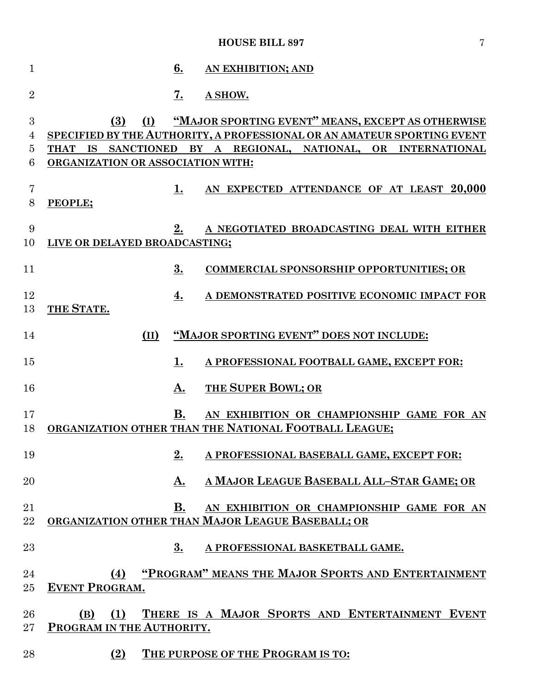| 1                |                                                 | 6.        | AN EXHIBITION; AND                                                                                                                                                                           |
|------------------|-------------------------------------------------|-----------|----------------------------------------------------------------------------------------------------------------------------------------------------------------------------------------------|
| $\overline{2}$   |                                                 | <u>7.</u> | A SHOW.                                                                                                                                                                                      |
| 3<br>4<br>5<br>6 | (3)<br>(I)<br>ORGANIZATION OR ASSOCIATION WITH: |           | "MAJOR SPORTING EVENT" MEANS, EXCEPT AS OTHERWISE<br>SPECIFIED BY THE AUTHORITY, A PROFESSIONAL OR AN AMATEUR SPORTING EVENT<br>THAT IS SANCTIONED BY A REGIONAL, NATIONAL, OR INTERNATIONAL |
| 7<br>8           | PEOPLE;                                         | 1.        | AN EXPECTED ATTENDANCE OF AT LEAST 20,000                                                                                                                                                    |
| 9<br>10          | LIVE OR DELAYED BROADCASTING;                   | 2.        | A NEGOTIATED BROADCASTING DEAL WITH EITHER                                                                                                                                                   |
| 11               |                                                 | 3.        | <b>COMMERCIAL SPONSORSHIP OPPORTUNITIES; OR</b>                                                                                                                                              |
| 12<br>13         | THE STATE.                                      | 4.        | A DEMONSTRATED POSITIVE ECONOMIC IMPACT FOR                                                                                                                                                  |
| 14               | (II)                                            |           | "MAJOR SPORTING EVENT" DOES NOT INCLUDE:                                                                                                                                                     |
| 15               |                                                 | 1.        | A PROFESSIONAL FOOTBALL GAME, EXCEPT FOR:                                                                                                                                                    |
| 16               |                                                 | A.        | THE SUPER BOWL; OR                                                                                                                                                                           |
| 17<br>18         |                                                 | <b>B.</b> | AN EXHIBITION OR CHAMPIONSHIP GAME FOR AN<br>ORGANIZATION OTHER THAN THE NATIONAL FOOTBALL LEAGUE;                                                                                           |
| 19               |                                                 | 2.        | A PROFESSIONAL BASEBALL GAME, EXCEPT FOR:                                                                                                                                                    |
| 20               |                                                 | А.        | A MAJOR LEAGUE BASEBALL ALL-STAR GAME; OR                                                                                                                                                    |
| 21<br>22         |                                                 | <b>B.</b> | AN EXHIBITION OR CHAMPIONSHIP GAME FOR AN<br>ORGANIZATION OTHER THAN MAJOR LEAGUE BASEBALL; OR                                                                                               |
| 23               |                                                 | 3.        | A PROFESSIONAL BASKETBALL GAME.                                                                                                                                                              |
| 24<br>25         | (4)<br><b>EVENT PROGRAM.</b>                    |           | "PROGRAM" MEANS THE MAJOR SPORTS AND ENTERTAINMENT                                                                                                                                           |
| 26<br>$27\,$     | <u>(1)</u><br>(B)<br>PROGRAM IN THE AUTHORITY.  |           | THERE IS A MAJOR SPORTS AND ENTERTAINMENT EVENT                                                                                                                                              |
| 28               | (2)                                             |           | THE PURPOSE OF THE PROGRAM IS TO:                                                                                                                                                            |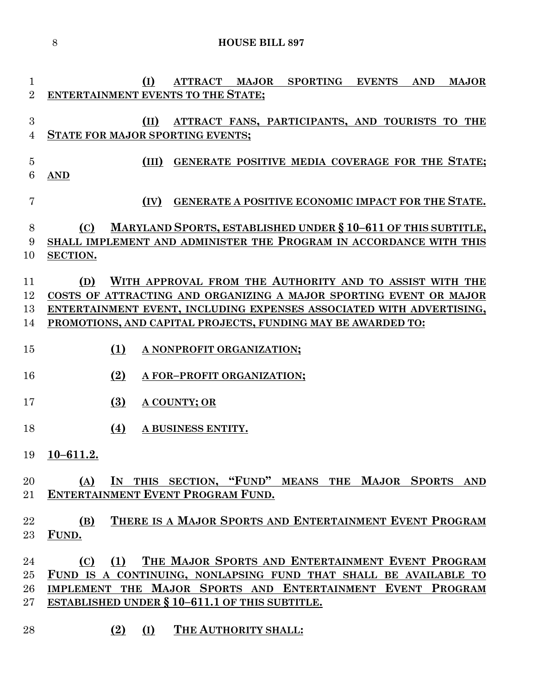**(I) ATTRACT MAJOR SPORTING EVENTS AND MAJOR ENTERTAINMENT EVENTS TO THE STATE; (II) ATTRACT FANS, PARTICIPANTS, AND TOURISTS TO THE STATE FOR MAJOR SPORTING EVENTS; (III) GENERATE POSITIVE MEDIA COVERAGE FOR THE STATE; AND (IV) GENERATE A POSITIVE ECONOMIC IMPACT FOR THE STATE. (C) MARYLAND SPORTS, ESTABLISHED UNDER § 10–611 OF THIS SUBTITLE, SHALL IMPLEMENT AND ADMINISTER THE PROGRAM IN ACCORDANCE WITH THIS SECTION. (D) WITH APPROVAL FROM THE AUTHORITY AND TO ASSIST WITH THE COSTS OF ATTRACTING AND ORGANIZING A MAJOR SPORTING EVENT OR MAJOR ENTERTAINMENT EVENT, INCLUDING EXPENSES ASSOCIATED WITH ADVERTISING, PROMOTIONS, AND CAPITAL PROJECTS, FUNDING MAY BE AWARDED TO: (1) A NONPROFIT ORGANIZATION; (2) A FOR–PROFIT ORGANIZATION; (3) A COUNTY; OR (4) A BUSINESS ENTITY. 10–611.2. (A) IN THIS SECTION, "FUND" MEANS THE MAJOR SPORTS AND ENTERTAINMENT EVENT PROGRAM FUND. (B) THERE IS A MAJOR SPORTS AND ENTERTAINMENT EVENT PROGRAM FUND. (C) (1) THE MAJOR SPORTS AND ENTERTAINMENT EVENT PROGRAM FUND IS A CONTINUING, NONLAPSING FUND THAT SHALL BE AVAILABLE TO IMPLEMENT THE MAJOR SPORTS AND ENTERTAINMENT EVENT PROGRAM ESTABLISHED UNDER § 10–611.1 OF THIS SUBTITLE. (2) (I) THE AUTHORITY SHALL:**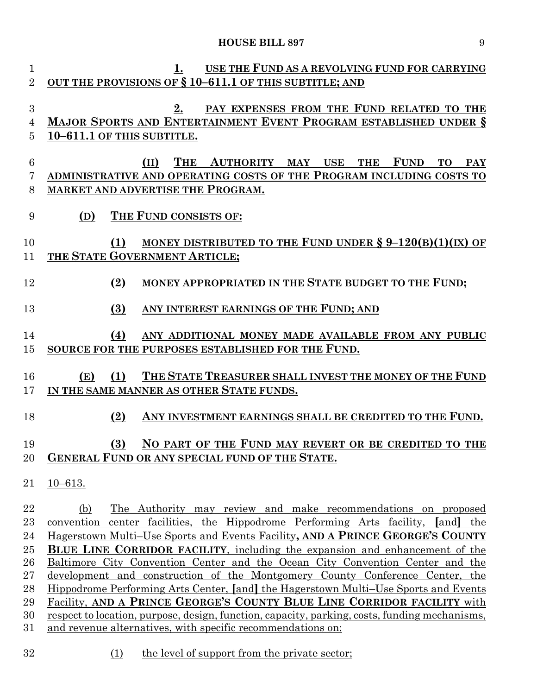| $\mathbf{1}$    | USE THE FUND AS A REVOLVING FUND FOR CARRYING<br>1.                                             |
|-----------------|-------------------------------------------------------------------------------------------------|
| $\overline{2}$  | OUT THE PROVISIONS OF § 10-611.1 OF THIS SUBTITLE; AND                                          |
|                 |                                                                                                 |
| 3               | PAY EXPENSES FROM THE FUND RELATED TO THE<br>2.                                                 |
| 4               | <b>MAJOR SPORTS AND ENTERTAINMENT EVENT PROGRAM ESTABLISHED UNDER §</b>                         |
| 5               | 10-611.1 OF THIS SUBTITLE.                                                                      |
|                 |                                                                                                 |
| $6\phantom{.}6$ | <b>THE</b><br>AUTHORITY MAY USE<br><b>FUND</b><br>(II)<br><b>THE</b><br><b>TO</b><br><b>PAY</b> |
| 7               | ADMINISTRATIVE AND OPERATING COSTS OF THE PROGRAM INCLUDING COSTS TO                            |
| 8               | <b>MARKET AND ADVERTISE THE PROGRAM.</b>                                                        |
|                 |                                                                                                 |
| 9               | THE FUND CONSISTS OF:<br>(D)                                                                    |
|                 |                                                                                                 |
| 10              | MONEY DISTRIBUTED TO THE FUND UNDER $\S 9-120(B)(1)(IX)$ OF<br>(1)                              |
|                 |                                                                                                 |
| 11              | THE STATE GOVERNMENT ARTICLE;                                                                   |
| 12              |                                                                                                 |
|                 | MONEY APPROPRIATED IN THE STATE BUDGET TO THE FUND;<br>(2)                                      |
|                 |                                                                                                 |
| 13              | ANY INTEREST EARNINGS OF THE FUND; AND<br>(3)                                                   |
|                 |                                                                                                 |
| 14              | ANY ADDITIONAL MONEY MADE AVAILABLE FROM ANY PUBLIC<br>(4)                                      |
| 15              | SOURCE FOR THE PURPOSES ESTABLISHED FOR THE FUND.                                               |
|                 |                                                                                                 |
| 16              | THE STATE TREASURER SHALL INVEST THE MONEY OF THE FUND<br>(1)<br>(E)                            |
| 17              | IN THE SAME MANNER AS OTHER STATE FUNDS.                                                        |
|                 |                                                                                                 |
| 18              | ANY INVESTMENT EARNINGS SHALL BE CREDITED TO THE FUND.<br>(2)                                   |
|                 |                                                                                                 |
| 19              | NO PART OF THE FUND MAY REVERT OR BE CREDITED TO THE<br>(3)                                     |
|                 | 20 GENERAL FUND OR ANY SPECIAL FUND OF THE STATE.                                               |
|                 |                                                                                                 |
| 21              | $10 - 613.$                                                                                     |
|                 |                                                                                                 |
| 22              | The Authority may review and make recommendations on proposed<br>(b)                            |
| $^{23}$         | convention center facilities, the Hippodrome Performing Arts facility, [and]<br>the             |
| 24              | Hagerstown Multi–Use Sports and Events Facility, AND A PRINCE GEORGE'S COUNTY                   |
| 25              | <b>BLUE LINE CORRIDOR FACILITY, including the expansion and enhancement of the</b>              |
| 26              | Baltimore City Convention Center and the Ocean City Convention Center and the                   |
| $27\,$          | <u>development and construction of the Montgomery County Conference Center, the</u>             |
| 28              | <u>Hippodrome Performing Arts Center, [and] the Hagerstown Multi–Use Sports and Events</u>      |
| 29              | Facility, AND A PRINCE GEORGE'S COUNTY BLUE LINE CORRIDOR FACILITY with                         |
| 30              | respect to location, purpose, design, function, capacity, parking, costs, funding mechanisms,   |
| $31\,$          | and revenue alternatives, with specific recommendations on:                                     |
|                 |                                                                                                 |

32 (1) the level of support from the private sector;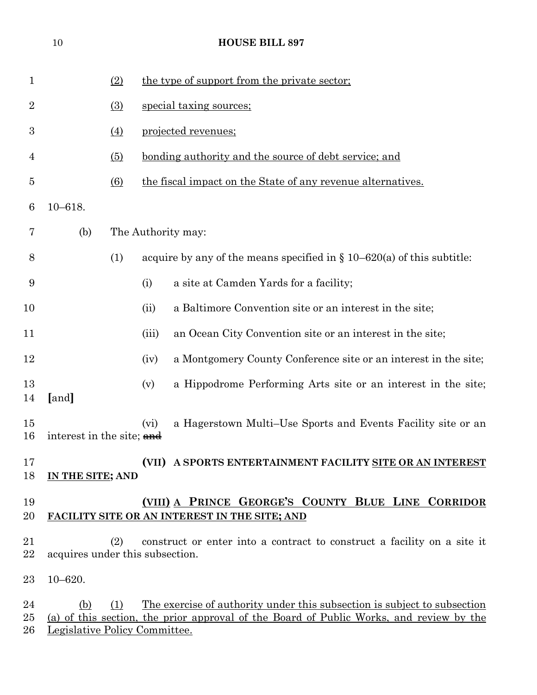|                    | $10\,$                               |                  | <b>HOUSE BILL 897</b>                                                                                                                                               |
|--------------------|--------------------------------------|------------------|---------------------------------------------------------------------------------------------------------------------------------------------------------------------|
| $\mathbf{1}$       |                                      | (2)              | the type of support from the private sector;                                                                                                                        |
| $\overline{2}$     |                                      | $\Omega$         | special taxing sources;                                                                                                                                             |
| $\boldsymbol{3}$   |                                      | (4)              | projected revenues;                                                                                                                                                 |
| 4                  |                                      | $\left(5\right)$ | <u>bonding authority and the source of debt service; and</u>                                                                                                        |
| 5                  |                                      | $\circ$          | the fiscal impact on the State of any revenue alternatives.                                                                                                         |
| 6                  | $10 - 618.$                          |                  |                                                                                                                                                                     |
| 7                  | (b)                                  |                  | The Authority may:                                                                                                                                                  |
| 8                  |                                      | (1)              | acquire by any of the means specified in $\S 10-620(a)$ of this subtitle:                                                                                           |
| 9                  |                                      |                  | a site at Camden Yards for a facility;<br>(i)                                                                                                                       |
| 10                 |                                      |                  | a Baltimore Convention site or an interest in the site;<br>(ii)                                                                                                     |
| 11                 |                                      |                  | an Ocean City Convention site or an interest in the site;<br>(iii)                                                                                                  |
| 12                 |                                      |                  | a Montgomery County Conference site or an interest in the site;<br>(iv)                                                                                             |
| 13<br>14           | [and]                                |                  | a Hippodrome Performing Arts site or an interest in the site;<br>(v)                                                                                                |
| $15\,$<br>16       | interest in the site; and            |                  | a Hagerstown Multi–Use Sports and Events Facility site or an<br>(vi)                                                                                                |
| 17<br>18           | IN THE SITE; AND                     |                  | (VII) A SPORTS ENTERTAINMENT FACILITY SITE OR AN INTEREST                                                                                                           |
| 19<br>20           |                                      |                  | (VIII) A PRINCE GEORGE'S COUNTY BLUE LINE CORRIDOR<br>FACILITY SITE OR AN INTEREST IN THE SITE; AND                                                                 |
| 21<br>22           |                                      | (2)              | construct or enter into a contract to construct a facility on a site it<br>acquires under this subsection.                                                          |
| $23\,$             | $10 - 620.$                          |                  |                                                                                                                                                                     |
| 24<br>$25\,$<br>26 | (b)<br>Legislative Policy Committee. | (1)              | The exercise of authority under this subsection is subject to subsection<br>(a) of this section, the prior approval of the Board of Public Works, and review by the |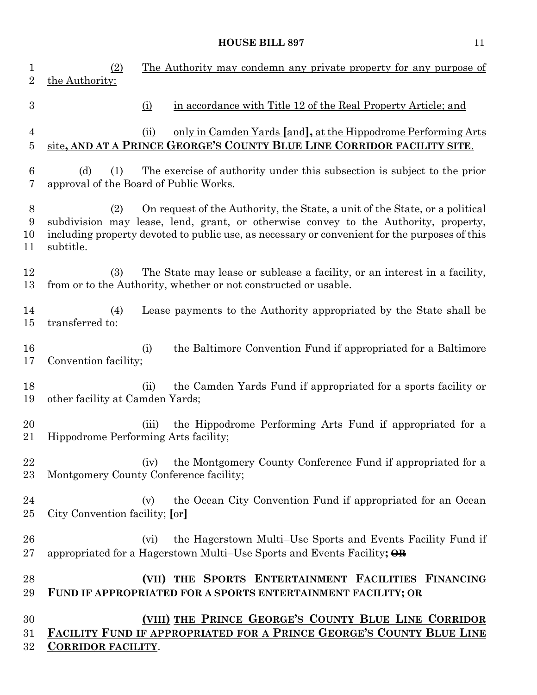| $\mathbf{1}$<br>$\overline{2}$ | (2)<br>The Authority may condemn any private property for any purpose of<br>the Authority:                                                                                                                                                                                              |
|--------------------------------|-----------------------------------------------------------------------------------------------------------------------------------------------------------------------------------------------------------------------------------------------------------------------------------------|
| $\boldsymbol{3}$               | in accordance with Title 12 of the Real Property Article; and<br>$\Omega$                                                                                                                                                                                                               |
| $\overline{4}$<br>5            | only in Camden Yards [and], at the Hippodrome Performing Arts<br>(ii)<br>site, AND AT A PRINCE GEORGE'S COUNTY BLUE LINE CORRIDOR FACILITY SITE.                                                                                                                                        |
| 6<br>7                         | The exercise of authority under this subsection is subject to the prior<br>(d)<br>(1)<br>approval of the Board of Public Works.                                                                                                                                                         |
| 8<br>9<br>10<br>11             | On request of the Authority, the State, a unit of the State, or a political<br>(2)<br>subdivision may lease, lend, grant, or otherwise convey to the Authority, property,<br>including property devoted to public use, as necessary or convenient for the purposes of this<br>subtitle. |
| 12<br>13                       | The State may lease or sublease a facility, or an interest in a facility,<br>(3)<br>from or to the Authority, whether or not constructed or usable.                                                                                                                                     |
| 14<br>$15\,$                   | (4)<br>Lease payments to the Authority appropriated by the State shall be<br>transferred to:                                                                                                                                                                                            |
| 16<br>17                       | the Baltimore Convention Fund if appropriated for a Baltimore<br>(i)<br>Convention facility;                                                                                                                                                                                            |
| 18<br>19                       | the Camden Yards Fund if appropriated for a sports facility or<br>(ii)<br>other facility at Camden Yards;                                                                                                                                                                               |
| 20<br>21                       | the Hippodrome Performing Arts Fund if appropriated for a<br>(iii)<br>Hippodrome Performing Arts facility;                                                                                                                                                                              |
| 22<br>23                       | the Montgomery County Conference Fund if appropriated for a<br>(iv)<br>Montgomery County Conference facility;                                                                                                                                                                           |
| 24<br>$25\,$                   | the Ocean City Convention Fund if appropriated for an Ocean<br>(v)<br>City Convention facility; [or]                                                                                                                                                                                    |
| 26<br>$27\,$                   | the Hagerstown Multi–Use Sports and Events Facility Fund if<br>(vi)<br>appropriated for a Hagerstown Multi–Use Sports and Events Facility; $\Theta$ <b>R</b>                                                                                                                            |
| 28<br>29                       | (VII) THE SPORTS ENTERTAINMENT FACILITIES FINANCING<br>FUND IF APPROPRIATED FOR A SPORTS ENTERTAINMENT FACILITY; OR                                                                                                                                                                     |
| 30<br>31<br>32                 | (VIII) THE PRINCE GEORGE'S COUNTY BLUE LINE CORRIDOR<br><b>FACILITY FUND IF APPROPRIATED FOR A PRINCE GEORGE'S COUNTY BLUE LINE</b><br><b>CORRIDOR FACILITY.</b>                                                                                                                        |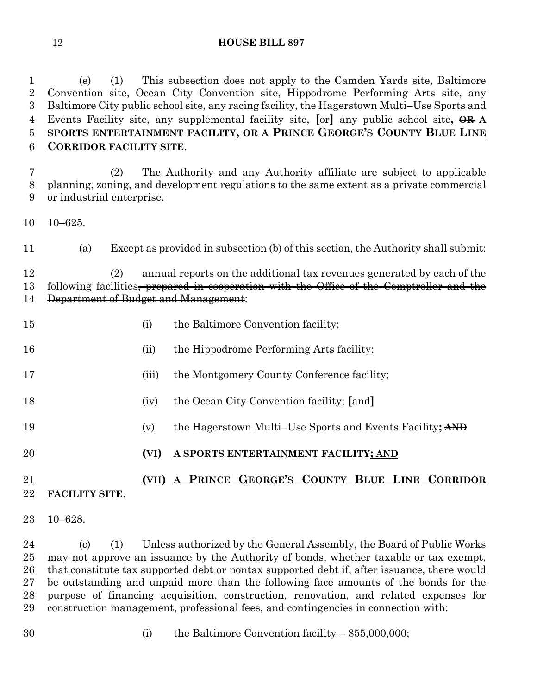(e) (1) This subsection does not apply to the Camden Yards site, Baltimore Convention site, Ocean City Convention site, Hippodrome Performing Arts site, any Baltimore City public school site, any racing facility, the Hagerstown Multi–Use Sports and Events Facility site, any supplemental facility site, **[**or**]** any public school site**, OR A SPORTS ENTERTAINMENT FACILITY, OR A PRINCE GEORGE'S COUNTY BLUE LINE CORRIDOR FACILITY SITE**.

 (2) The Authority and any Authority affiliate are subject to applicable planning, zoning, and development regulations to the same extent as a private commercial or industrial enterprise.

10–625.

(a) Except as provided in subsection (b) of this section, the Authority shall submit:

 (2) annual reports on the additional tax revenues generated by each of the 13 following facilities<del>, prepared in cooperation with the Office of the Comptroller and the</del> Department of Budget and Management:

- (i) the Baltimore Convention facility;
- (ii) the Hippodrome Performing Arts facility;
- 17 (iii) the Montgomery County Conference facility;
- (iv) the Ocean City Convention facility; **[**and**]**
- (v) the Hagerstown Multi–Use Sports and Events Facility**; AND**
- **(VI) A SPORTS ENTERTAINMENT FACILITY; AND**

### **(VII) A PRINCE GEORGE'S COUNTY BLUE LINE CORRIDOR FACILITY SITE**.

10–628.

 (c) (1) Unless authorized by the General Assembly, the Board of Public Works may not approve an issuance by the Authority of bonds, whether taxable or tax exempt, that constitute tax supported debt or nontax supported debt if, after issuance, there would be outstanding and unpaid more than the following face amounts of the bonds for the purpose of financing acquisition, construction, renovation, and related expenses for construction management, professional fees, and contingencies in connection with:

- 
- (i) the Baltimore Convention facility \$55,000,000;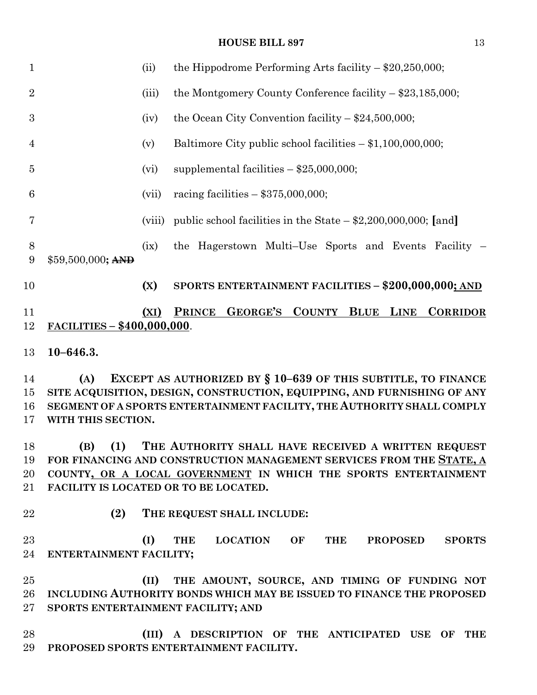| $\mathbf{1}$   |                                    | (ii)   | the Hippodrome Performing Arts facility $-$ \$20,250,000;                                |
|----------------|------------------------------------|--------|------------------------------------------------------------------------------------------|
| $\overline{2}$ |                                    | (iii)  | the Montgomery County Conference facility $-$ \$23,185,000;                              |
| 3              |                                    | (iv)   | the Ocean City Convention facility $-$ \$24,500,000;                                     |
| $\overline{4}$ |                                    | (v)    | Baltimore City public school facilities $- $1,100,000,000;$                              |
| $\overline{5}$ |                                    | (vi)   | supplemental facilities $-$ \$25,000,000;                                                |
| 6              |                                    | (vii)  | racing facilities $-$ \$375,000,000;                                                     |
| 7              |                                    | (viii) | public school facilities in the State $-$ \$2,200,000,000; [and]                         |
| 8<br>9         | $$59,500,000;$ AND                 | (ix)   | the Hagerstown Multi-Use Sports and Events Facility –                                    |
| 10             |                                    | (X)    | SPORTS ENTERTAINMENT FACILITIES - \$200,000,000; AND                                     |
| 11<br>12       | <b>FACILITIES - \$400,000,000.</b> | (XI)   | <b>GEORGE'S</b><br><b>COUNTY BLUE</b><br><b>PRINCE</b><br><b>LINE</b><br><b>CORRIDOR</b> |
| 13             | $10 - 646.3.$                      |        |                                                                                          |
| 14             | (A)                                |        | EXCEPT AS AUTHORIZED BY § 10-639 OF THIS SUBTITLE, TO FINANCE                            |
| 15             |                                    |        | SITE ACQUISITION, DESIGN, CONSTRUCTION, EQUIPPING, AND FURNISHING OF ANY                 |
| 16             |                                    |        | SEGMENT OF A SPORTS ENTERTAINMENT FACILITY, THE AUTHORITY SHALL COMPLY                   |
| 17             | WITH THIS SECTION.                 |        |                                                                                          |
| 18             | (1)<br>(B)                         |        | THE AUTHORITY SHALL HAVE RECEIVED A WRITTEN REQUEST                                      |
| 19             |                                    |        | FOR FINANCING AND CONSTRUCTION MANAGEMENT SERVICES FROM THE STATE, A                     |
| 20             |                                    |        | COUNTY, OR A LOCAL GOVERNMENT IN WHICH THE SPORTS ENTERTAINMENT                          |
| 21             |                                    |        | FACILITY IS LOCATED OR TO BE LOCATED.                                                    |
| 22             | (2)                                |        | THE REQUEST SHALL INCLUDE:                                                               |
| 23             |                                    | (I)    | THE LOCATION OF THE<br><b>PROPOSED</b><br><b>SPORTS</b>                                  |
| 24             | ENTERTAINMENT FACILITY;            |        |                                                                                          |
| 25             |                                    | (II)   | THE AMOUNT, SOURCE, AND TIMING OF FUNDING NOT                                            |
| 26             |                                    |        |                                                                                          |
|                |                                    |        | INCLUDING AUTHORITY BONDS WHICH MAY BE ISSUED TO FINANCE THE PROPOSED                    |
| $27\,$         |                                    |        | SPORTS ENTERTAINMENT FACILITY; AND                                                       |
| 28             |                                    | (III)  | A DESCRIPTION OF THE ANTICIPATED USE OF THE                                              |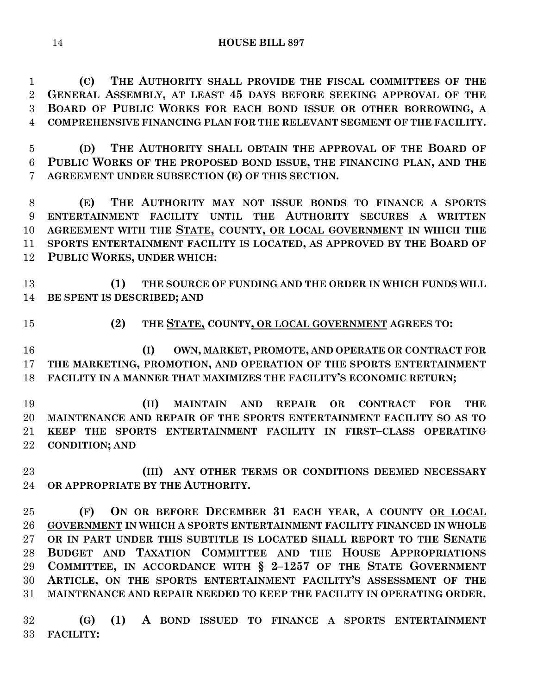**(C) THE AUTHORITY SHALL PROVIDE THE FISCAL COMMITTEES OF THE GENERAL ASSEMBLY, AT LEAST 45 DAYS BEFORE SEEKING APPROVAL OF THE BOARD OF PUBLIC WORKS FOR EACH BOND ISSUE OR OTHER BORROWING, A COMPREHENSIVE FINANCING PLAN FOR THE RELEVANT SEGMENT OF THE FACILITY.**

 **(D) THE AUTHORITY SHALL OBTAIN THE APPROVAL OF THE BOARD OF PUBLIC WORKS OF THE PROPOSED BOND ISSUE, THE FINANCING PLAN, AND THE AGREEMENT UNDER SUBSECTION (E) OF THIS SECTION.**

 **(E) THE AUTHORITY MAY NOT ISSUE BONDS TO FINANCE A SPORTS ENTERTAINMENT FACILITY UNTIL THE AUTHORITY SECURES A WRITTEN AGREEMENT WITH THE STATE, COUNTY, OR LOCAL GOVERNMENT IN WHICH THE SPORTS ENTERTAINMENT FACILITY IS LOCATED, AS APPROVED BY THE BOARD OF PUBLIC WORKS, UNDER WHICH:**

 **(1) THE SOURCE OF FUNDING AND THE ORDER IN WHICH FUNDS WILL BE SPENT IS DESCRIBED; AND**

#### **(2) THE STATE, COUNTY, OR LOCAL GOVERNMENT AGREES TO:**

 **(I) OWN, MARKET, PROMOTE, AND OPERATE OR CONTRACT FOR THE MARKETING, PROMOTION, AND OPERATION OF THE SPORTS ENTERTAINMENT FACILITY IN A MANNER THAT MAXIMIZES THE FACILITY'S ECONOMIC RETURN;**

 **(II) MAINTAIN AND REPAIR OR CONTRACT FOR THE MAINTENANCE AND REPAIR OF THE SPORTS ENTERTAINMENT FACILITY SO AS TO KEEP THE SPORTS ENTERTAINMENT FACILITY IN FIRST–CLASS OPERATING CONDITION; AND**

 **(III) ANY OTHER TERMS OR CONDITIONS DEEMED NECESSARY OR APPROPRIATE BY THE AUTHORITY.**

 **(F) ON OR BEFORE DECEMBER 31 EACH YEAR, A COUNTY OR LOCAL GOVERNMENT IN WHICH A SPORTS ENTERTAINMENT FACILITY FINANCED IN WHOLE OR IN PART UNDER THIS SUBTITLE IS LOCATED SHALL REPORT TO THE SENATE BUDGET AND TAXATION COMMITTEE AND THE HOUSE APPROPRIATIONS COMMITTEE, IN ACCORDANCE WITH § 2–1257 OF THE STATE GOVERNMENT ARTICLE, ON THE SPORTS ENTERTAINMENT FACILITY'S ASSESSMENT OF THE MAINTENANCE AND REPAIR NEEDED TO KEEP THE FACILITY IN OPERATING ORDER.**

 **(G) (1) A BOND ISSUED TO FINANCE A SPORTS ENTERTAINMENT FACILITY:**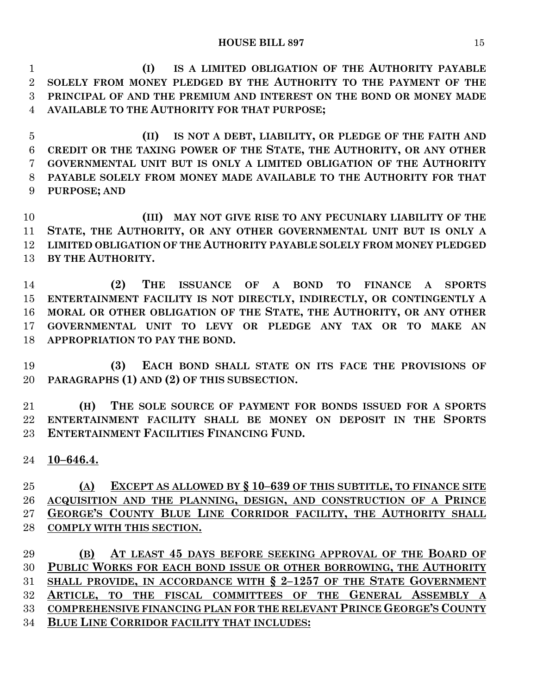**(I) IS A LIMITED OBLIGATION OF THE AUTHORITY PAYABLE SOLELY FROM MONEY PLEDGED BY THE AUTHORITY TO THE PAYMENT OF THE PRINCIPAL OF AND THE PREMIUM AND INTEREST ON THE BOND OR MONEY MADE AVAILABLE TO THE AUTHORITY FOR THAT PURPOSE;**

 **(II) IS NOT A DEBT, LIABILITY, OR PLEDGE OF THE FAITH AND CREDIT OR THE TAXING POWER OF THE STATE, THE AUTHORITY, OR ANY OTHER GOVERNMENTAL UNIT BUT IS ONLY A LIMITED OBLIGATION OF THE AUTHORITY PAYABLE SOLELY FROM MONEY MADE AVAILABLE TO THE AUTHORITY FOR THAT PURPOSE; AND**

 **(III) MAY NOT GIVE RISE TO ANY PECUNIARY LIABILITY OF THE STATE, THE AUTHORITY, OR ANY OTHER GOVERNMENTAL UNIT BUT IS ONLY A LIMITED OBLIGATION OF THE AUTHORITY PAYABLE SOLELY FROM MONEY PLEDGED BY THE AUTHORITY.**

 **(2) THE ISSUANCE OF A BOND TO FINANCE A SPORTS ENTERTAINMENT FACILITY IS NOT DIRECTLY, INDIRECTLY, OR CONTINGENTLY A MORAL OR OTHER OBLIGATION OF THE STATE, THE AUTHORITY, OR ANY OTHER GOVERNMENTAL UNIT TO LEVY OR PLEDGE ANY TAX OR TO MAKE AN APPROPRIATION TO PAY THE BOND.**

 **(3) EACH BOND SHALL STATE ON ITS FACE THE PROVISIONS OF PARAGRAPHS (1) AND (2) OF THIS SUBSECTION.**

 **(H) THE SOLE SOURCE OF PAYMENT FOR BONDS ISSUED FOR A SPORTS ENTERTAINMENT FACILITY SHALL BE MONEY ON DEPOSIT IN THE SPORTS ENTERTAINMENT FACILITIES FINANCING FUND.**

**10–646.4.**

 **(A) EXCEPT AS ALLOWED BY § 10–639 OF THIS SUBTITLE, TO FINANCE SITE ACQUISITION AND THE PLANNING, DESIGN, AND CONSTRUCTION OF A PRINCE GEORGE'S COUNTY BLUE LINE CORRIDOR FACILITY, THE AUTHORITY SHALL COMPLY WITH THIS SECTION.**

 **(B) AT LEAST 45 DAYS BEFORE SEEKING APPROVAL OF THE BOARD OF PUBLIC WORKS FOR EACH BOND ISSUE OR OTHER BORROWING, THE AUTHORITY SHALL PROVIDE, IN ACCORDANCE WITH § 2–1257 OF THE STATE GOVERNMENT ARTICLE, TO THE FISCAL COMMITTEES OF THE GENERAL ASSEMBLY A COMPREHENSIVE FINANCING PLAN FOR THE RELEVANT PRINCE GEORGE'S COUNTY BLUE LINE CORRIDOR FACILITY THAT INCLUDES:**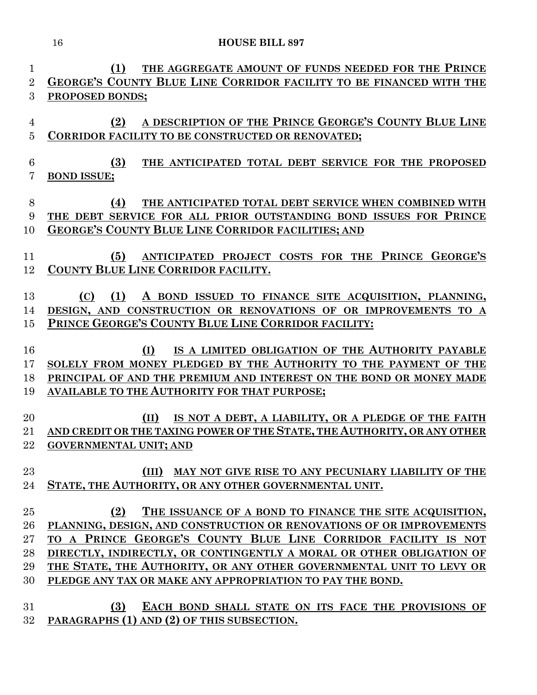| 1              | THE AGGREGATE AMOUNT OF FUNDS NEEDED FOR THE PRINCE<br>(1)                                                                               |
|----------------|------------------------------------------------------------------------------------------------------------------------------------------|
| $\overline{2}$ | GEORGE'S COUNTY BLUE LINE CORRIDOR FACILITY TO BE FINANCED WITH THE                                                                      |
| 3              | PROPOSED BONDS;                                                                                                                          |
|                |                                                                                                                                          |
| $\overline{4}$ | A DESCRIPTION OF THE PRINCE GEORGE'S COUNTY BLUE LINE<br>(2)                                                                             |
| $\bf 5$        | CORRIDOR FACILITY TO BE CONSTRUCTED OR RENOVATED;                                                                                        |
|                |                                                                                                                                          |
| 6              | (3)<br>THE ANTICIPATED TOTAL DEBT SERVICE FOR THE PROPOSED                                                                               |
| 7              | <b>BOND ISSUE:</b>                                                                                                                       |
| 8              | (4)<br>THE ANTICIPATED TOTAL DEBT SERVICE WHEN COMBINED WITH                                                                             |
| 9              | THE DEBT SERVICE FOR ALL PRIOR OUTSTANDING BOND ISSUES FOR PRINCE                                                                        |
| 10             | <b>GEORGE'S COUNTY BLUE LINE CORRIDOR FACILITIES; AND</b>                                                                                |
|                |                                                                                                                                          |
| 11             | ANTICIPATED PROJECT COSTS FOR THE PRINCE GEORGE'S<br>(5)                                                                                 |
| 12             | COUNTY BLUE LINE CORRIDOR FACILITY.                                                                                                      |
|                |                                                                                                                                          |
| 13             | (1)<br>A BOND ISSUED TO FINANCE SITE ACQUISITION, PLANNING,<br>(C)                                                                       |
| 14             | DESIGN, AND CONSTRUCTION OR RENOVATIONS OF OR IMPROVEMENTS TO A                                                                          |
| 15             | PRINCE GEORGE'S COUNTY BLUE LINE CORRIDOR FACILITY:                                                                                      |
|                |                                                                                                                                          |
| 16             | IS A LIMITED OBLIGATION OF THE AUTHORITY PAYABLE<br>(I)                                                                                  |
| 17             | SOLELY FROM MONEY PLEDGED BY THE AUTHORITY TO THE PAYMENT OF THE                                                                         |
| 18             | PRINCIPAL OF AND THE PREMIUM AND INTEREST ON THE BOND OR MONEY MADE                                                                      |
| 19             | <b>AVAILABLE TO THE AUTHORITY FOR THAT PURPOSE;</b>                                                                                      |
|                |                                                                                                                                          |
| 20             | (II)<br>IS NOT A DEBT, A LIABILITY, OR A PLEDGE OF THE FAITH<br>AND CREDIT OR THE TAXING POWER OF THE STATE, THE AUTHORITY, OR ANY OTHER |
| 21             |                                                                                                                                          |
| 22             | <b>GOVERNMENTAL UNIT; AND</b>                                                                                                            |
| 23             | (III) MAY NOT GIVE RISE TO ANY PECUNIARY LIABILITY OF THE                                                                                |
| 24             | STATE, THE AUTHORITY, OR ANY OTHER GOVERNMENTAL UNIT.                                                                                    |
|                |                                                                                                                                          |
| 25             | (2)<br>THE ISSUANCE OF A BOND TO FINANCE THE SITE ACQUISITION,                                                                           |
| 26             | PLANNING, DESIGN, AND CONSTRUCTION OR RENOVATIONS OF OR IMPROVEMENTS                                                                     |
| $27\,$         | TO A PRINCE GEORGE'S COUNTY BLUE LINE CORRIDOR FACILITY IS NOT                                                                           |
| 28             | DIRECTLY, INDIRECTLY, OR CONTINGENTLY A MORAL OR OTHER OBLIGATION OF                                                                     |
| 29             | THE STATE, THE AUTHORITY, OR ANY OTHER GOVERNMENTAL UNIT TO LEVY OR                                                                      |
| 30             | PLEDGE ANY TAX OR MAKE ANY APPROPRIATION TO PAY THE BOND.                                                                                |
|                |                                                                                                                                          |
| 31             | (3)<br>EACH BOND SHALL STATE ON ITS FACE THE PROVISIONS OF                                                                               |

**PARAGRAPHS (1) AND (2) OF THIS SUBSECTION.**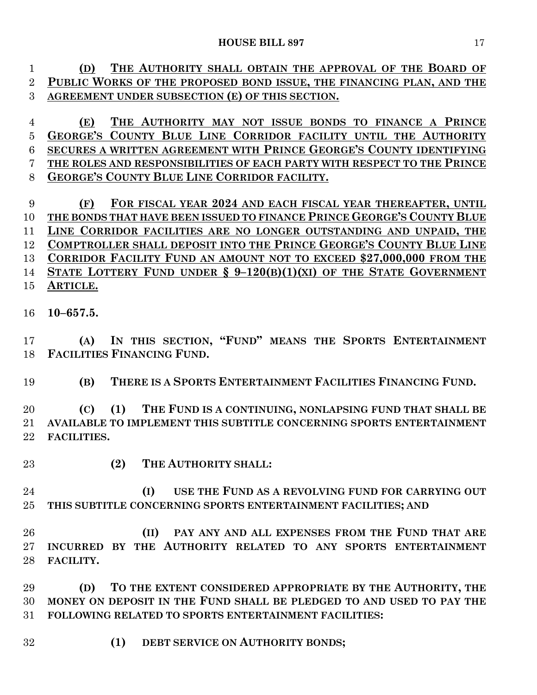| $\mathbf{1}$   | THE AUTHORITY SHALL OBTAIN THE APPROVAL OF THE BOARD OF<br>(D)          |
|----------------|-------------------------------------------------------------------------|
| $\overline{2}$ | PUBLIC WORKS OF THE PROPOSED BOND ISSUE, THE FINANCING PLAN, AND THE    |
| 3              | AGREEMENT UNDER SUBSECTION (E) OF THIS SECTION.                         |
| $\overline{4}$ | THE AUTHORITY MAY NOT ISSUE BONDS TO FINANCE A PRINCE<br>(E)            |
| $\overline{5}$ | GEORGE'S COUNTY BLUE LINE CORRIDOR FACILITY UNTIL THE AUTHORITY         |
| 6              | SECURES A WRITTEN AGREEMENT WITH PRINCE GEORGE'S COUNTY IDENTIFYING     |
| 7              | THE ROLES AND RESPONSIBILITIES OF EACH PARTY WITH RESPECT TO THE PRINCE |
| 8              | <b>GEORGE'S COUNTY BLUE LINE CORRIDOR FACILITY.</b>                     |
| 9              | FOR FISCAL YEAR 2024 AND EACH FISCAL YEAR THEREAFTER, UNTIL<br>(F)      |
| 10             | THE BONDS THAT HAVE BEEN ISSUED TO FINANCE PRINCE GEORGE'S COUNTY BLUE  |
| 11             | LINE CORRIDOR FACILITIES ARE NO LONGER OUTSTANDING AND UNPAID, THE      |
| 12             | COMPTROLLER SHALL DEPOSIT INTO THE PRINCE GEORGE'S COUNTY BLUE LINE     |
| 13             | CORRIDOR FACILITY FUND AN AMOUNT NOT TO EXCEED \$27,000,000 FROM THE    |
| 14             | STATE LOTTERY FUND UNDER $\S 9-120(B)(1)(XI)$ OF THE STATE GOVERNMENT   |
| 15             | ARTICLE.                                                                |
| 16             | $10 - 657.5.$                                                           |
| 17             | IN THIS SECTION, "FUND" MEANS THE SPORTS ENTERTAINMENT<br>(A)           |
| 18             | FACILITIES FINANCING FUND.                                              |
|                |                                                                         |
| 19             | THERE IS A SPORTS ENTERTAINMENT FACILITIES FINANCING FUND.<br>(B)       |
| 20             | (1)<br>THE FUND IS A CONTINUING, NONLAPSING FUND THAT SHALL BE<br>(C)   |
| 21             | AVAILABLE TO IMPLEMENT THIS SUBTITLE CONCERNING SPORTS ENTERTAINMENT    |
| 22             | <b>FACILITIES.</b>                                                      |
| 23             | (2)<br>THE AUTHORITY SHALL:                                             |
| 24             | USE THE FUND AS A REVOLVING FUND FOR CARRYING OUT<br>(I)                |
| 25             | THIS SUBTITLE CONCERNING SPORTS ENTERTAINMENT FACILITIES; AND           |
|                |                                                                         |
| 26             | PAY ANY AND ALL EXPENSES FROM THE FUND THAT ARE<br>(II)                 |
| 27             | INCURRED BY THE AUTHORITY RELATED TO ANY SPORTS ENTERTAINMENT           |
| 28             | FACILITY.                                                               |
|                |                                                                         |
| 29             | TO THE EXTENT CONSIDERED APPROPRIATE BY THE AUTHORITY, THE<br>(D)       |
| 30             | MONEY ON DEPOSIT IN THE FUND SHALL BE PLEDGED TO AND USED TO PAY THE    |
| 31             | <b>FOLLOWING RELATED TO SPORTS ENTERTAINMENT FACILITIES:</b>            |
|                |                                                                         |
| 32             | DEBT SERVICE ON AUTHORITY BONDS;<br>(1)                                 |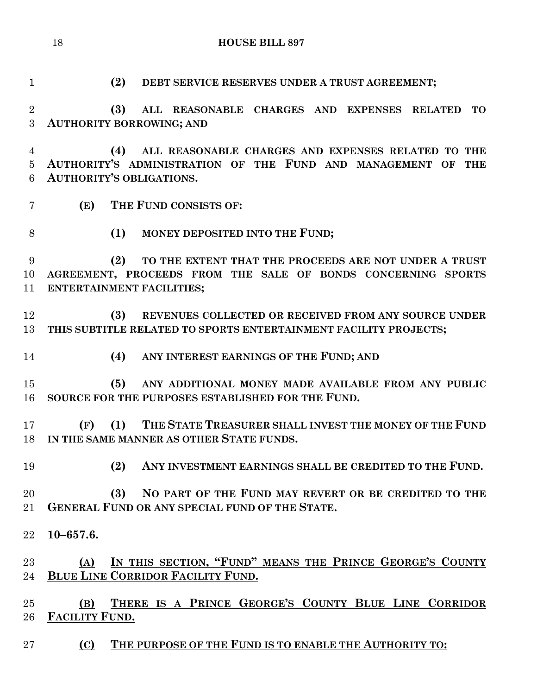**(2) DEBT SERVICE RESERVES UNDER A TRUST AGREEMENT;**

 **(3) ALL REASONABLE CHARGES AND EXPENSES RELATED TO AUTHORITY BORROWING; AND**

 **(4) ALL REASONABLE CHARGES AND EXPENSES RELATED TO THE AUTHORITY'S ADMINISTRATION OF THE FUND AND MANAGEMENT OF THE AUTHORITY'S OBLIGATIONS.**

- **(E) THE FUND CONSISTS OF:**
- **(1) MONEY DEPOSITED INTO THE FUND;**

 **(2) TO THE EXTENT THAT THE PROCEEDS ARE NOT UNDER A TRUST AGREEMENT, PROCEEDS FROM THE SALE OF BONDS CONCERNING SPORTS ENTERTAINMENT FACILITIES;**

 **(3) REVENUES COLLECTED OR RECEIVED FROM ANY SOURCE UNDER THIS SUBTITLE RELATED TO SPORTS ENTERTAINMENT FACILITY PROJECTS;**

**(4) ANY INTEREST EARNINGS OF THE FUND; AND**

 **(5) ANY ADDITIONAL MONEY MADE AVAILABLE FROM ANY PUBLIC SOURCE FOR THE PURPOSES ESTABLISHED FOR THE FUND.**

 **(F) (1) THE STATE TREASURER SHALL INVEST THE MONEY OF THE FUND IN THE SAME MANNER AS OTHER STATE FUNDS.**

**(2) ANY INVESTMENT EARNINGS SHALL BE CREDITED TO THE FUND.**

 **(3) NO PART OF THE FUND MAY REVERT OR BE CREDITED TO THE GENERAL FUND OR ANY SPECIAL FUND OF THE STATE.**

**10–657.6.**

 **(A) IN THIS SECTION, "FUND" MEANS THE PRINCE GEORGE'S COUNTY BLUE LINE CORRIDOR FACILITY FUND.**

 **(B) THERE IS A PRINCE GEORGE'S COUNTY BLUE LINE CORRIDOR FACILITY FUND.**

**(C) THE PURPOSE OF THE FUND IS TO ENABLE THE AUTHORITY TO:**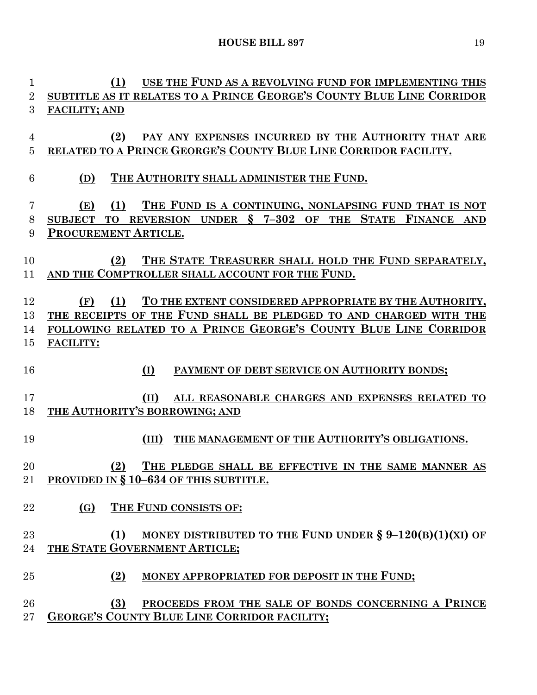**(1) USE THE FUND AS A REVOLVING FUND FOR IMPLEMENTING THIS SUBTITLE AS IT RELATES TO A PRINCE GEORGE'S COUNTY BLUE LINE CORRIDOR FACILITY; AND (2) PAY ANY EXPENSES INCURRED BY THE AUTHORITY THAT ARE RELATED TO A PRINCE GEORGE'S COUNTY BLUE LINE CORRIDOR FACILITY. (D) THE AUTHORITY SHALL ADMINISTER THE FUND. (E) (1) THE FUND IS A CONTINUING, NONLAPSING FUND THAT IS NOT SUBJECT TO REVERSION UNDER § 7–302 OF THE STATE FINANCE AND PROCUREMENT ARTICLE. (2) THE STATE TREASURER SHALL HOLD THE FUND SEPARATELY, AND THE COMPTROLLER SHALL ACCOUNT FOR THE FUND. (F) (1) TO THE EXTENT CONSIDERED APPROPRIATE BY THE AUTHORITY, THE RECEIPTS OF THE FUND SHALL BE PLEDGED TO AND CHARGED WITH THE FOLLOWING RELATED TO A PRINCE GEORGE'S COUNTY BLUE LINE CORRIDOR FACILITY: (I) PAYMENT OF DEBT SERVICE ON AUTHORITY BONDS; (II) ALL REASONABLE CHARGES AND EXPENSES RELATED TO THE AUTHORITY'S BORROWING; AND (III) THE MANAGEMENT OF THE AUTHORITY'S OBLIGATIONS. (2) THE PLEDGE SHALL BE EFFECTIVE IN THE SAME MANNER AS PROVIDED IN § 10–634 OF THIS SUBTITLE. (G) THE FUND CONSISTS OF: (1) MONEY DISTRIBUTED TO THE FUND UNDER § 9–120(B)(1)(XI) OF THE STATE GOVERNMENT ARTICLE; (2) MONEY APPROPRIATED FOR DEPOSIT IN THE FUND; (3) PROCEEDS FROM THE SALE OF BONDS CONCERNING A PRINCE GEORGE'S COUNTY BLUE LINE CORRIDOR FACILITY;**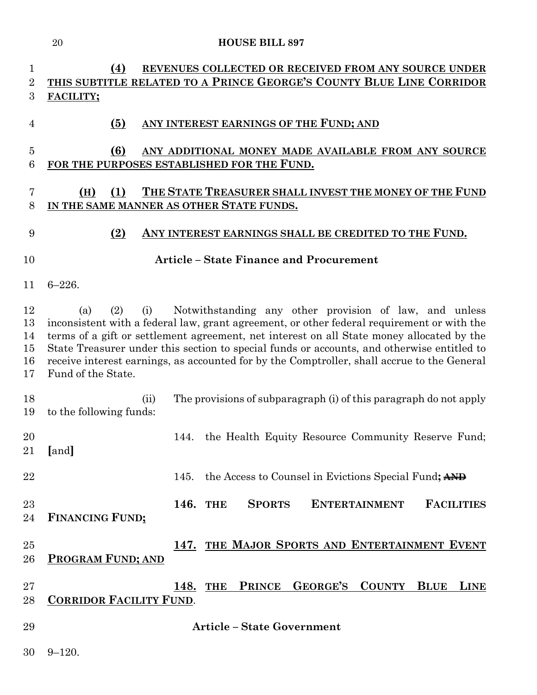|                                  | <b>HOUSE BILL 897</b><br>20                                                                                                                                                                                                                                                                                                                                                                                                                                                               |
|----------------------------------|-------------------------------------------------------------------------------------------------------------------------------------------------------------------------------------------------------------------------------------------------------------------------------------------------------------------------------------------------------------------------------------------------------------------------------------------------------------------------------------------|
| 1<br>$\overline{2}$<br>3         | (4)<br>REVENUES COLLECTED OR RECEIVED FROM ANY SOURCE UNDER<br>THIS SUBTITLE RELATED TO A PRINCE GEORGE'S COUNTY BLUE LINE CORRIDOR<br>FACILITY;                                                                                                                                                                                                                                                                                                                                          |
| 4                                | (5)<br>ANY INTEREST EARNINGS OF THE FUND; AND                                                                                                                                                                                                                                                                                                                                                                                                                                             |
| $\overline{5}$<br>6              | (6)<br>ANY ADDITIONAL MONEY MADE AVAILABLE FROM ANY SOURCE<br>FOR THE PURPOSES ESTABLISHED FOR THE FUND.                                                                                                                                                                                                                                                                                                                                                                                  |
| 7<br>8                           | THE STATE TREASURER SHALL INVEST THE MONEY OF THE FUND<br>(H)<br>(1)<br>IN THE SAME MANNER AS OTHER STATE FUNDS.                                                                                                                                                                                                                                                                                                                                                                          |
| 9                                | (2)<br>ANY INTEREST EARNINGS SHALL BE CREDITED TO THE FUND.                                                                                                                                                                                                                                                                                                                                                                                                                               |
| 10                               | <b>Article - State Finance and Procurement</b>                                                                                                                                                                                                                                                                                                                                                                                                                                            |
| 11                               | $6 - 226.$                                                                                                                                                                                                                                                                                                                                                                                                                                                                                |
| 12<br>13<br>14<br>15<br>16<br>17 | Notwithstanding any other provision of law, and unless<br>(2)<br>(i)<br>(a)<br>inconsistent with a federal law, grant agreement, or other federal requirement or with the<br>terms of a gift or settlement agreement, net interest on all State money allocated by the<br>State Treasurer under this section to special funds or accounts, and otherwise entitled to<br>receive interest earnings, as accounted for by the Comptroller, shall accrue to the General<br>Fund of the State. |
| 18<br>19                         | The provisions of subparagraph (i) of this paragraph do not apply<br>(ii)<br>to the following funds:                                                                                                                                                                                                                                                                                                                                                                                      |
| 20<br>21                         | 144. the Health Equity Resource Community Reserve Fund;<br>[and]                                                                                                                                                                                                                                                                                                                                                                                                                          |
| 22                               | the Access to Counsel in Evictions Special Fund; AND<br>145.                                                                                                                                                                                                                                                                                                                                                                                                                              |
| 23<br>24                         | 146. THE<br><b>SPORTS</b><br><b>ENTERTAINMENT</b><br><b>FACILITIES</b><br><b>FINANCING FUND:</b>                                                                                                                                                                                                                                                                                                                                                                                          |
| 25<br>26                         | 147. THE MAJOR SPORTS AND ENTERTAINMENT EVENT<br><b>PROGRAM FUND; AND</b>                                                                                                                                                                                                                                                                                                                                                                                                                 |
| $27\,$<br>28                     | PRINCE GEORGE'S<br><b>COUNTY</b><br><b>BLUE</b><br><b>LINE</b><br>148.<br><b>THE</b><br><b>CORRIDOR FACILITY FUND.</b>                                                                                                                                                                                                                                                                                                                                                                    |
| 29                               | <b>Article - State Government</b>                                                                                                                                                                                                                                                                                                                                                                                                                                                         |

9–120.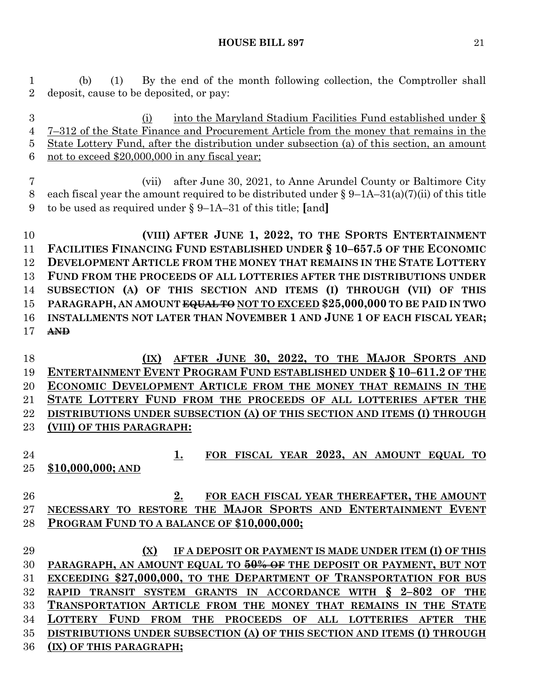(b) (1) By the end of the month following collection, the Comptroller shall deposit, cause to be deposited, or pay:

 (i) into the Maryland Stadium Facilities Fund established under § 7–312 of the State Finance and Procurement Article from the money that remains in the State Lottery Fund, after the distribution under subsection (a) of this section, an amount not to exceed \$20,000,000 in any fiscal year;

 (vii) after June 30, 2021, to Anne Arundel County or Baltimore City 8 each fiscal year the amount required to be distributed under  $\S 9$ –1A–31(a)(7)(ii) of this title to be used as required under § 9–1A–31 of this title; **[**and**]**

 **(VIII) AFTER JUNE 1, 2022, TO THE SPORTS ENTERTAINMENT FACILITIES FINANCING FUND ESTABLISHED UNDER § 10–657.5 OF THE ECONOMIC DEVELOPMENT ARTICLE FROM THE MONEY THAT REMAINS IN THE STATE LOTTERY FUND FROM THE PROCEEDS OF ALL LOTTERIES AFTER THE DISTRIBUTIONS UNDER SUBSECTION (A) OF THIS SECTION AND ITEMS (I) THROUGH (VII) OF THIS PARAGRAPH, AN AMOUNT EQUAL TO NOT TO EXCEED \$25,000,000 TO BE PAID IN TWO INSTALLMENTS NOT LATER THAN NOVEMBER 1 AND JUNE 1 OF EACH FISCAL YEAR; AND**

 **(IX) AFTER JUNE 30, 2022, TO THE MAJOR SPORTS AND ENTERTAINMENT EVENT PROGRAM FUND ESTABLISHED UNDER § 10–611.2 OF THE ECONOMIC DEVELOPMENT ARTICLE FROM THE MONEY THAT REMAINS IN THE STATE LOTTERY FUND FROM THE PROCEEDS OF ALL LOTTERIES AFTER THE DISTRIBUTIONS UNDER SUBSECTION (A) OF THIS SECTION AND ITEMS (I) THROUGH (VIII) OF THIS PARAGRAPH:**

- **1. FOR FISCAL YEAR 2023, AN AMOUNT EQUAL TO \$10,000,000; AND**
- **2. FOR EACH FISCAL YEAR THEREAFTER, THE AMOUNT NECESSARY TO RESTORE THE MAJOR SPORTS AND ENTERTAINMENT EVENT PROGRAM FUND TO A BALANCE OF \$10,000,000;**
- **(X) IF A DEPOSIT OR PAYMENT IS MADE UNDER ITEM (I) OF THIS PARAGRAPH, AN AMOUNT EQUAL TO 50% OF THE DEPOSIT OR PAYMENT, BUT NOT EXCEEDING \$27,000,000, TO THE DEPARTMENT OF TRANSPORTATION FOR BUS RAPID TRANSIT SYSTEM GRANTS IN ACCORDANCE WITH § 2–802 OF THE TRANSPORTATION ARTICLE FROM THE MONEY THAT REMAINS IN THE STATE LOTTERY FUND FROM THE PROCEEDS OF ALL LOTTERIES AFTER THE DISTRIBUTIONS UNDER SUBSECTION (A) OF THIS SECTION AND ITEMS (I) THROUGH (IX) OF THIS PARAGRAPH;**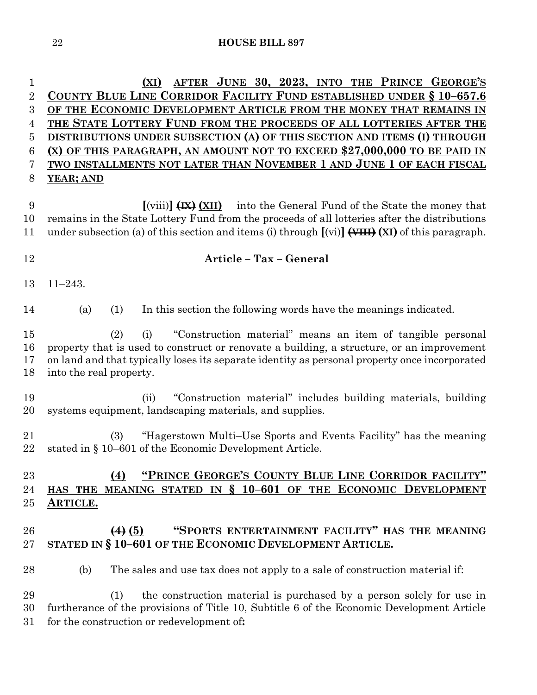**(XI) AFTER JUNE 30, 2023, INTO THE PRINCE GEORGE'S COUNTY BLUE LINE CORRIDOR FACILITY FUND ESTABLISHED UNDER § 10–657.6 OF THE ECONOMIC DEVELOPMENT ARTICLE FROM THE MONEY THAT REMAINS IN THE STATE LOTTERY FUND FROM THE PROCEEDS OF ALL LOTTERIES AFTER THE DISTRIBUTIONS UNDER SUBSECTION (A) OF THIS SECTION AND ITEMS (I) THROUGH (X) OF THIS PARAGRAPH, AN AMOUNT NOT TO EXCEED \$27,000,000 TO BE PAID IN TWO INSTALLMENTS NOT LATER THAN NOVEMBER 1 AND JUNE 1 OF EACH FISCAL YEAR; AND [**(viii)**] (IX) (XII)** into the General Fund of the State the money that remains in the State Lottery Fund from the proceeds of all lotteries after the distributions under subsection (a) of this section and items (i) through **[**(vi)**](VIII)(XI)** of this paragraph. **Article – Tax – General**

11–243.

(a) (1) In this section the following words have the meanings indicated.

 (2) (i) "Construction material" means an item of tangible personal property that is used to construct or renovate a building, a structure, or an improvement on land and that typically loses its separate identity as personal property once incorporated into the real property.

 (ii) "Construction material" includes building materials, building systems equipment, landscaping materials, and supplies.

 (3) "Hagerstown Multi–Use Sports and Events Facility" has the meaning stated in § 10–601 of the Economic Development Article.

### **(4) "PRINCE GEORGE'S COUNTY BLUE LINE CORRIDOR FACILITY" HAS THE MEANING STATED IN § 10–601 OF THE ECONOMIC DEVELOPMENT ARTICLE.**

## **(4) (5) "SPORTS ENTERTAINMENT FACILITY" HAS THE MEANING STATED IN § 10–601 OF THE ECONOMIC DEVELOPMENT ARTICLE.**

(b) The sales and use tax does not apply to a sale of construction material if:

 (1) the construction material is purchased by a person solely for use in furtherance of the provisions of Title 10, Subtitle 6 of the Economic Development Article for the construction or redevelopment of**:**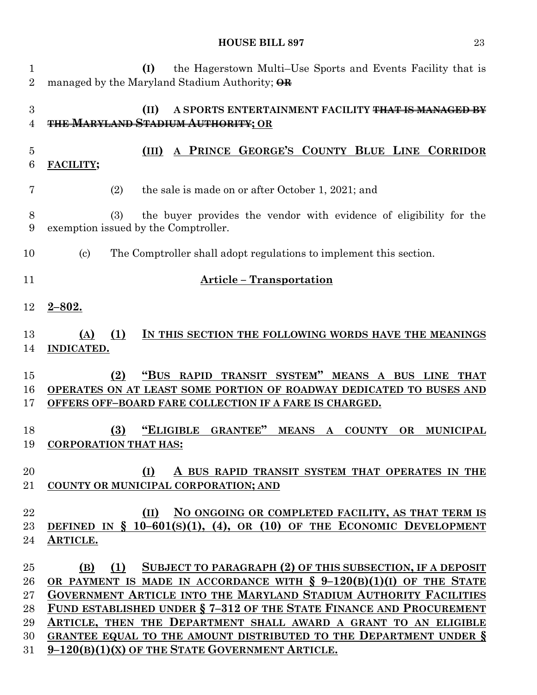| 1<br>$\overline{2}$ | the Hagerstown Multi–Use Sports and Events Facility that is<br>(I)<br>managed by the Maryland Stadium Authority; OR                               |
|---------------------|---------------------------------------------------------------------------------------------------------------------------------------------------|
| 3<br>4              | (II)<br>A SPORTS ENTERTAINMENT FACILITY THAT IS<br><b>THE MARYLAND STADIUM AUTHORITY; OR</b>                                                      |
| $\overline{5}$<br>6 | PRINCE GEORGE'S COUNTY BLUE LINE CORRIDOR<br>(III)<br>FACILITY;                                                                                   |
| 7                   | (2)<br>the sale is made on or after October 1, 2021; and                                                                                          |
| 8<br>9              | (3)<br>the buyer provides the vendor with evidence of eligibility for the<br>exemption issued by the Comptroller.                                 |
| 10                  | $\left( \text{c}\right)$<br>The Comptroller shall adopt regulations to implement this section.                                                    |
| 11                  | <b>Article - Transportation</b>                                                                                                                   |
| 12                  | $2 - 802.$                                                                                                                                        |
| 13<br>14            | (1)<br>IN THIS SECTION THE FOLLOWING WORDS HAVE THE MEANINGS<br>(A)<br>INDICATED.                                                                 |
|                     |                                                                                                                                                   |
| 15                  | TRANSIT SYSTEM"<br>"Bus<br>MEANS A BUS LINE<br>(2)<br><b>RAPID</b><br><b>THAT</b>                                                                 |
| 16<br>17            | OPERATES ON AT LEAST SOME PORTION OF ROADWAY DEDICATED TO BUSES AND<br><b>OFFERS OFF-BOARD FARE COLLECTION IF A FARE IS CHARGED.</b>              |
| 18<br>19            | (3)<br><b>"ELIGIBLE</b><br><b>GRANTEE"</b><br><b>MEANS</b><br><b>COUNTY</b><br><b>OR</b><br><b>MUNICIPAL</b><br>A<br><b>CORPORATION THAT HAS:</b> |
| 20                  | A BUS RAPID TRANSIT SYSTEM THAT OPERATES IN THE<br>(I)                                                                                            |
| 21                  | COUNTY OR MUNICIPAL CORPORATION; AND                                                                                                              |
| 22                  | NO ONGOING OR COMPLETED FACILITY, AS THAT TERM IS<br>(II)                                                                                         |
| 23<br>24            | DEFINED IN $\S$ 10-601(s)(1), (4), OR (10) OF THE ECONOMIC DEVELOPMENT<br>ARTICLE.                                                                |
| 25                  | SUBJECT TO PARAGRAPH (2) OF THIS SUBSECTION, IF A DEPOSIT<br>(1)<br>(B)                                                                           |
| 26                  | OR PAYMENT IS MADE IN ACCORDANCE WITH § 9-120(B)(1)(I) OF THE STATE                                                                               |
| $27\,$              | <b>GOVERNMENT ARTICLE INTO THE MARYLAND STADIUM AUTHORITY FACILITIES</b>                                                                          |
| 28                  | FUND ESTABLISHED UNDER § 7-312 OF THE STATE FINANCE AND PROCUREMENT                                                                               |
| 29                  | ARTICLE, THEN THE DEPARTMENT SHALL AWARD A GRANT TO AN ELIGIBLE                                                                                   |
| 30<br>31            | GRANTEE EQUAL TO THE AMOUNT DISTRIBUTED TO THE DEPARTMENT UNDER §<br>$9-120(B)(1)(X)$ OF THE STATE GOVERNMENT ARTICLE.                            |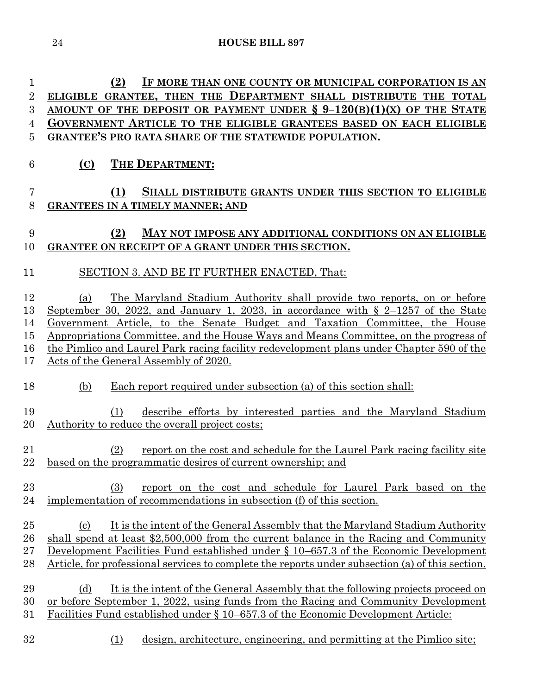| (2)<br>IF MORE THAN ONE COUNTY OR MUNICIPAL CORPORATION IS AN                                                                                                         |
|-----------------------------------------------------------------------------------------------------------------------------------------------------------------------|
| ELIGIBLE GRANTEE, THEN THE DEPARTMENT SHALL DISTRIBUTE THE TOTAL                                                                                                      |
| AMOUNT OF THE DEPOSIT OR PAYMENT UNDER $\S 9-120(B)(1)(X)$ OF THE STATE                                                                                               |
| GOVERNMENT ARTICLE TO THE ELIGIBLE GRANTEES BASED ON EACH ELIGIBLE                                                                                                    |
| <b>GRANTEE'S PRO RATA SHARE OF THE STATEWIDE POPULATION.</b>                                                                                                          |
| THE DEPARTMENT:<br>(C)                                                                                                                                                |
| SHALL DISTRIBUTE GRANTS UNDER THIS SECTION TO ELIGIBLE<br>(1)                                                                                                         |
| <b>GRANTEES IN A TIMELY MANNER; AND</b>                                                                                                                               |
|                                                                                                                                                                       |
| MAY NOT IMPOSE ANY ADDITIONAL CONDITIONS ON AN ELIGIBLE<br>(2)                                                                                                        |
| GRANTEE ON RECEIPT OF A GRANT UNDER THIS SECTION.                                                                                                                     |
|                                                                                                                                                                       |
| SECTION 3. AND BE IT FURTHER ENACTED, That:                                                                                                                           |
| The Maryland Stadium Authority shall provide two reports, on or before<br>(a)<br>September 30, 2022, and January 1, 2023, in accordance with $\S$ 2-1257 of the State |
|                                                                                                                                                                       |

 Appropriations Committee, and the House Ways and Means Committee, on the progress of the Pimlico and Laurel Park racing facility redevelopment plans under Chapter 590 of the Acts of the General Assembly of 2020.

Government Article, to the Senate Budget and Taxation Committee, the House

(b) Each report required under subsection (a) of this section shall:

# (1) describe efforts by interested parties and the Maryland Stadium 20 Authority to reduce the overall project costs;

- (2) report on the cost and schedule for the Laurel Park racing facility site 22 based on the programmatic desires of current ownership; and
- (3) report on the cost and schedule for Laurel Park based on the implementation of recommendations in subsection (f) of this section.
- (c) It is the intent of the General Assembly that the Maryland Stadium Authority shall spend at least \$2,500,000 from the current balance in the Racing and Community Development Facilities Fund established under § 10–657.3 of the Economic Development 28 Article, for professional services to complete the reports under subsection (a) of this section.
- 29 (d) It is the intent of the General Assembly that the following projects proceed on or before September 1, 2022, using funds from the Racing and Community Development Facilities Fund established under § 10–657.3 of the Economic Development Article:
- (1) design, architecture, engineering, and permitting at the Pimlico site;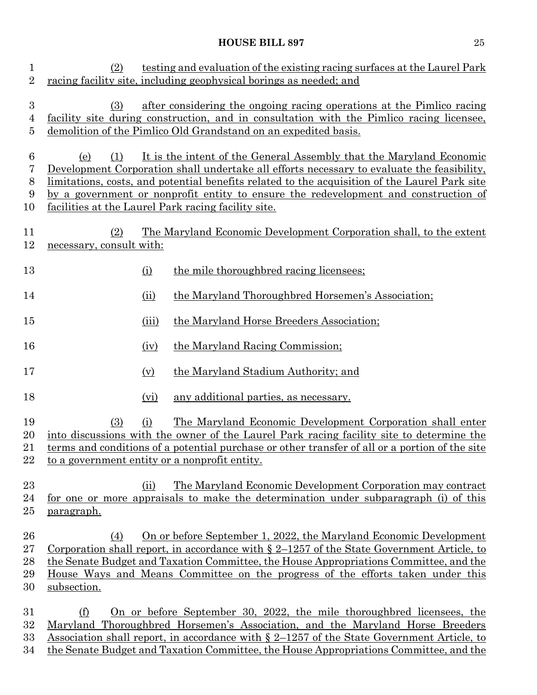| $\mathbf{1}$<br>$\overline{2}$          | testing and evaluation of the existing racing surfaces at the Laurel Park<br>(2)<br>racing facility site, including geophysical borings as needed; and                                                                                                                                                                                                                                                                         |                                                                                                                                                   |
|-----------------------------------------|--------------------------------------------------------------------------------------------------------------------------------------------------------------------------------------------------------------------------------------------------------------------------------------------------------------------------------------------------------------------------------------------------------------------------------|---------------------------------------------------------------------------------------------------------------------------------------------------|
| $\boldsymbol{3}$<br>$\overline{4}$<br>5 | after considering the ongoing racing operations at the Pimlico racing<br>(3)<br>facility site during construction, and in consultation with the Pimlico racing licensee,<br>demolition of the Pimlico Old Grandstand on an expedited basis.                                                                                                                                                                                    |                                                                                                                                                   |
| 6<br>7<br>8<br>9<br>10                  | It is the intent of the General Assembly that the Maryland Economic<br>(e)<br>(1)<br>Development Corporation shall undertake all efforts necessary to evaluate the feasibility,<br>limitations, costs, and potential benefits related to the acquisition of the Laurel Park site<br>by a government or nonprofit entity to ensure the redevelopment and construction of<br>facilities at the Laurel Park racing facility site. |                                                                                                                                                   |
| 11<br>12                                | The Maryland Economic Development Corporation shall, to the extent<br>(2)<br>necessary, consult with:                                                                                                                                                                                                                                                                                                                          |                                                                                                                                                   |
| 13                                      | (i)                                                                                                                                                                                                                                                                                                                                                                                                                            | the mile thoroughbred racing licensees;                                                                                                           |
| 14                                      | (ii)                                                                                                                                                                                                                                                                                                                                                                                                                           | the Maryland Thoroughbred Horsemen's Association;                                                                                                 |
| 15                                      | (iii)                                                                                                                                                                                                                                                                                                                                                                                                                          | the Maryland Horse Breeders Association;                                                                                                          |
| 16                                      | (iv)                                                                                                                                                                                                                                                                                                                                                                                                                           | the Maryland Racing Commission;                                                                                                                   |
| 17                                      | (v)                                                                                                                                                                                                                                                                                                                                                                                                                            | the Maryland Stadium Authority; and                                                                                                               |
| 18                                      | (vi)                                                                                                                                                                                                                                                                                                                                                                                                                           | any additional parties, as necessary.                                                                                                             |
| 19<br>20<br>21<br>$22\,$                | The Maryland Economic Development Corporation shall enter<br>(i)<br>(3)<br>into discussions with the owner of the Laurel Park racing facility site to determine the<br>terms and conditions of a potential purchase or other transfer of all or a portion of the site<br>to a government entity or a nonprofit entity.                                                                                                         |                                                                                                                                                   |
| $^{23}$<br>24<br>$25\,$                 | (ii)<br><u>paragraph.</u>                                                                                                                                                                                                                                                                                                                                                                                                      | The Maryland Economic Development Corporation may contract<br>for one or more appraisals to make the determination under subparagraph (i) of this |
| 26<br>$27\,$<br>28<br>29<br>30          | On or before September 1, 2022, the Maryland Economic Development<br>(4)<br><u>Corporation shall report, in accordance with <math>\S 2</math>–1257 of the State Government Article, to</u><br>the Senate Budget and Taxation Committee, the House Appropriations Committee, and the<br>House Ways and Means Committee on the progress of the efforts taken under this<br>subsection.                                           |                                                                                                                                                   |
| 31<br>$32\,$<br>$33\,$<br>34            | On or before September 30, 2022, the mile thoroughbred licensees, the<br>(f)<br>Maryland Thoroughbred Horsemen's Association, and the Maryland Horse Breeders<br>Association shall report, in accordance with $\S 2$ –1257 of the State Government Article, to<br>the Senate Budget and Taxation Committee, the House Appropriations Committee, and the                                                                        |                                                                                                                                                   |